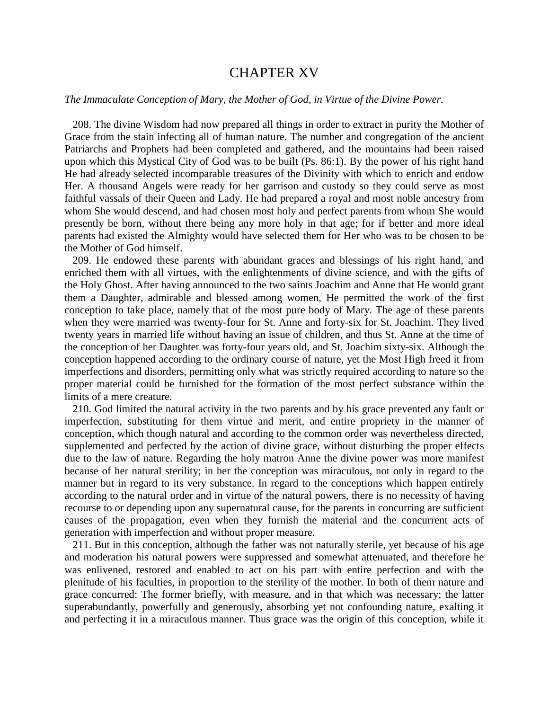## CHAPTER XV

## *The Immaculate Conception of Mary, the Mother of God, in Virtue of the Divine Power.*

 208. The divine Wisdom had now prepared all things in order to extract in purity the Mother of Grace from the stain infecting all of human nature. The number and congregation of the ancient Patriarchs and Prophets had been completed and gathered, and the mountains had been raised upon which this Mystical City of God was to be built (Ps. 86:1). By the power of his right hand He had already selected incomparable treasures of the Divinity with which to enrich and endow Her. A thousand Angels were ready for her garrison and custody so they could serve as most faithful vassals of their Queen and Lady. He had prepared a royal and most noble ancestry from whom She would descend, and had chosen most holy and perfect parents from whom She would presently be born, without there being any more holy in that age; for if better and more ideal parents had existed the Almighty would have selected them for Her who was to be chosen to be the Mother of God himself.

 209. He endowed these parents with abundant graces and blessings of his right hand, and enriched them with all virtues, with the enlightenments of divine science, and with the gifts of the Holy Ghost. After having announced to the two saints Joachim and Anne that He would grant them a Daughter, admirable and blessed among women, He permitted the work of the first conception to take place, namely that of the most pure body of Mary. The age of these parents when they were married was twenty-four for St. Anne and forty-six for St. Joachim. They lived twenty years in married life without having an issue of children, and thus St. Anne at the time of the conception of her Daughter was forty-four years old, and St. Joachim sixty-six. Although the conception happened according to the ordinary course of nature, yet the Most High freed it from imperfections and disorders, permitting only what was strictly required according to nature so the proper material could be furnished for the formation of the most perfect substance within the limits of a mere creature.

 210. God limited the natural activity in the two parents and by his grace prevented any fault or imperfection, substituting for them virtue and merit, and entire propriety in the manner of conception, which though natural and according to the common order was nevertheless directed, supplemented and perfected by the action of divine grace, without disturbing the proper effects due to the law of nature. Regarding the holy matron Anne the divine power was more manifest because of her natural sterility; in her the conception was miraculous, not only in regard to the manner but in regard to its very substance. In regard to the conceptions which happen entirely according to the natural order and in virtue of the natural powers, there is no necessity of having recourse to or depending upon any supernatural cause, for the parents in concurring are sufficient causes of the propagation, even when they furnish the material and the concurrent acts of generation with imperfection and without proper measure.

 211. But in this conception, although the father was not naturally sterile, yet because of his age and moderation his natural powers were suppressed and somewhat attenuated, and therefore he was enlivened, restored and enabled to act on his part with entire perfection and with the plenitude of his faculties, in proportion to the sterility of the mother. In both of them nature and grace concurred: The former briefly, with measure, and in that which was necessary; the latter superabundantly, powerfully and generously, absorbing yet not confounding nature, exalting it and perfecting it in a miraculous manner. Thus grace was the origin of this conception, while it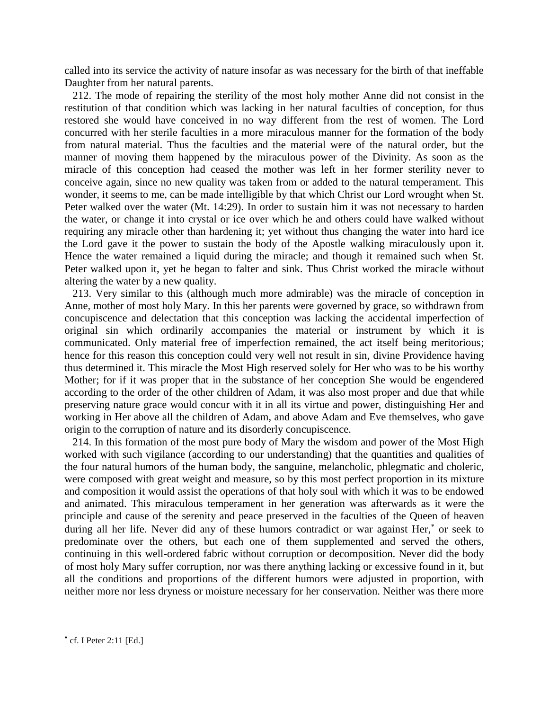called into its service the activity of nature insofar as was necessary for the birth of that ineffable Daughter from her natural parents.

 212. The mode of repairing the sterility of the most holy mother Anne did not consist in the restitution of that condition which was lacking in her natural faculties of conception, for thus restored she would have conceived in no way different from the rest of women. The Lord concurred with her sterile faculties in a more miraculous manner for the formation of the body from natural material. Thus the faculties and the material were of the natural order, but the manner of moving them happened by the miraculous power of the Divinity. As soon as the miracle of this conception had ceased the mother was left in her former sterility never to conceive again, since no new quality was taken from or added to the natural temperament. This wonder, it seems to me, can be made intelligible by that which Christ our Lord wrought when St. Peter walked over the water (Mt. 14:29). In order to sustain him it was not necessary to harden the water, or change it into crystal or ice over which he and others could have walked without requiring any miracle other than hardening it; yet without thus changing the water into hard ice the Lord gave it the power to sustain the body of the Apostle walking miraculously upon it. Hence the water remained a liquid during the miracle; and though it remained such when St. Peter walked upon it, yet he began to falter and sink. Thus Christ worked the miracle without altering the water by a new quality.

 213. Very similar to this (although much more admirable) was the miracle of conception in Anne, mother of most holy Mary. In this her parents were governed by grace, so withdrawn from concupiscence and delectation that this conception was lacking the accidental imperfection of original sin which ordinarily accompanies the material or instrument by which it is communicated. Only material free of imperfection remained, the act itself being meritorious; hence for this reason this conception could very well not result in sin, divine Providence having thus determined it. This miracle the Most High reserved solely for Her who was to be his worthy Mother; for if it was proper that in the substance of her conception She would be engendered according to the order of the other children of Adam, it was also most proper and due that while preserving nature grace would concur with it in all its virtue and power, distinguishing Her and working in Her above all the children of Adam, and above Adam and Eve themselves, who gave origin to the corruption of nature and its disorderly concupiscence.

 214. In this formation of the most pure body of Mary the wisdom and power of the Most High worked with such vigilance (according to our understanding) that the quantities and qualities of the four natural humors of the human body, the sanguine, melancholic, phlegmatic and choleric, were composed with great weight and measure, so by this most perfect proportion in its mixture and composition it would assist the operations of that holy soul with which it was to be endowed and animated. This miraculous temperament in her generation was afterwards as it were the principle and cause of the serenity and peace preserved in the faculties of the Queen of heaven during all her life. Never did any of these humors contradict or war against Her,<sup>\*</sup> or seek to predominate over the others, but each one of them supplemented and served the others, continuing in this well-ordered fabric without corruption or decomposition. Never did the body of most holy Mary suffer corruption, nor was there anything lacking or excessive found in it, but all the conditions and proportions of the different humors were adjusted in proportion, with neither more nor less dryness or moisture necessary for her conservation. Neither was there more

l

cf. I Peter 2:11 [Ed.]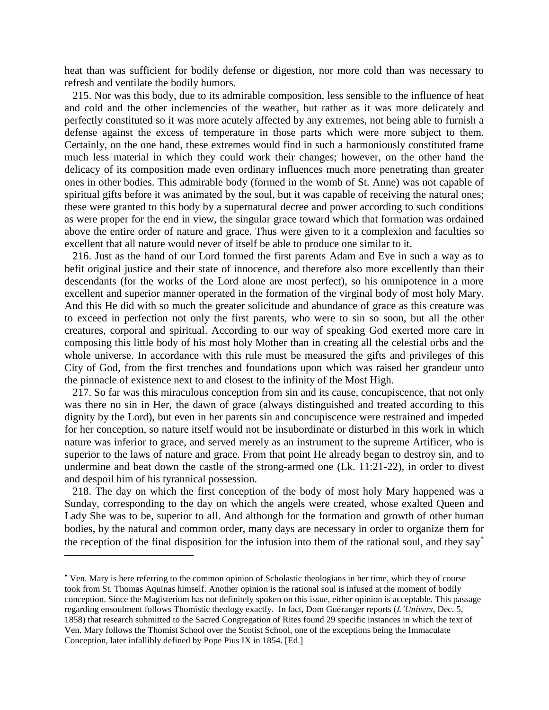heat than was sufficient for bodily defense or digestion, nor more cold than was necessary to refresh and ventilate the bodily humors.

 215. Nor was this body, due to its admirable composition, less sensible to the influence of heat and cold and the other inclemencies of the weather, but rather as it was more delicately and perfectly constituted so it was more acutely affected by any extremes, not being able to furnish a defense against the excess of temperature in those parts which were more subject to them. Certainly, on the one hand, these extremes would find in such a harmoniously constituted frame much less material in which they could work their changes; however, on the other hand the delicacy of its composition made even ordinary influences much more penetrating than greater ones in other bodies. This admirable body (formed in the womb of St. Anne) was not capable of spiritual gifts before it was animated by the soul, but it was capable of receiving the natural ones; these were granted to this body by a supernatural decree and power according to such conditions as were proper for the end in view, the singular grace toward which that formation was ordained above the entire order of nature and grace. Thus were given to it a complexion and faculties so excellent that all nature would never of itself be able to produce one similar to it.

 216. Just as the hand of our Lord formed the first parents Adam and Eve in such a way as to befit original justice and their state of innocence, and therefore also more excellently than their descendants (for the works of the Lord alone are most perfect), so his omnipotence in a more excellent and superior manner operated in the formation of the virginal body of most holy Mary. And this He did with so much the greater solicitude and abundance of grace as this creature was to exceed in perfection not only the first parents, who were to sin so soon, but all the other creatures, corporal and spiritual. According to our way of speaking God exerted more care in composing this little body of his most holy Mother than in creating all the celestial orbs and the whole universe. In accordance with this rule must be measured the gifts and privileges of this City of God, from the first trenches and foundations upon which was raised her grandeur unto the pinnacle of existence next to and closest to the infinity of the Most High.

 217. So far was this miraculous conception from sin and its cause, concupiscence, that not only was there no sin in Her, the dawn of grace (always distinguished and treated according to this dignity by the Lord), but even in her parents sin and concupiscence were restrained and impeded for her conception, so nature itself would not be insubordinate or disturbed in this work in which nature was inferior to grace, and served merely as an instrument to the supreme Artificer, who is superior to the laws of nature and grace. From that point He already began to destroy sin, and to undermine and beat down the castle of the strong-armed one (Lk. 11:21-22), in order to divest and despoil him of his tyrannical possession.

 218. The day on which the first conception of the body of most holy Mary happened was a Sunday, corresponding to the day on which the angels were created, whose exalted Queen and Lady She was to be, superior to all. And although for the formation and growth of other human bodies, by the natural and common order, many days are necessary in order to organize them for the reception of the final disposition for the infusion into them of the rational soul, and they say

 $\overline{a}$ 

Ven. Mary is here referring to the common opinion of Scholastic theologians in her time, which they of course took from St. Thomas Aquinas himself. Another opinion is the rational soul is infused at the moment of bodily conception. Since the Magisterium has not definitely spoken on this issue, either opinion is acceptable. This passage regarding ensoulment follows Thomistic theology exactly. In fact, Dom Guéranger reports (*L'Univers*, Dec. 5, 1858) that research submitted to the Sacred Congregation of Rites found 29 specific instances in which the text of Ven. Mary follows the Thomist School over the Scotist School, one of the exceptions being the Immaculate Conception, later infallibly defined by Pope Pius IX in 1854. [Ed.]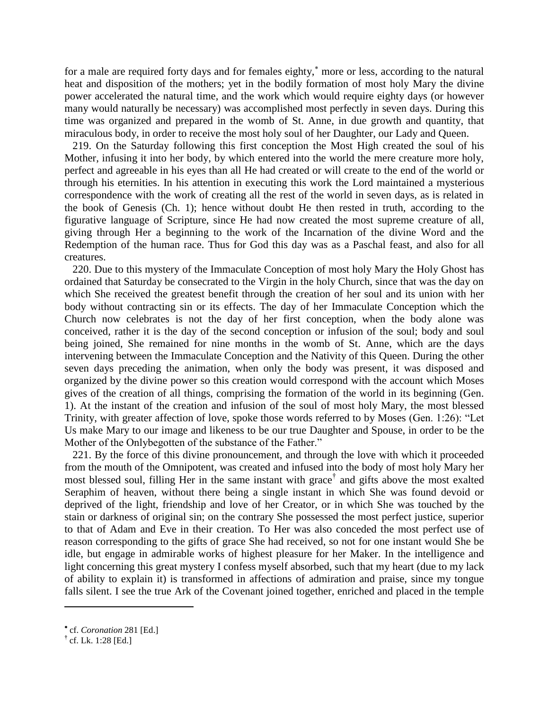for a male are required forty days and for females eighty,<sup>\*</sup> more or less, according to the natural heat and disposition of the mothers; yet in the bodily formation of most holy Mary the divine power accelerated the natural time, and the work which would require eighty days (or however many would naturally be necessary) was accomplished most perfectly in seven days. During this time was organized and prepared in the womb of St. Anne, in due growth and quantity, that miraculous body, in order to receive the most holy soul of her Daughter, our Lady and Queen.

 219. On the Saturday following this first conception the Most High created the soul of his Mother, infusing it into her body, by which entered into the world the mere creature more holy, perfect and agreeable in his eyes than all He had created or will create to the end of the world or through his eternities. In his attention in executing this work the Lord maintained a mysterious correspondence with the work of creating all the rest of the world in seven days, as is related in the book of Genesis (Ch. 1); hence without doubt He then rested in truth, according to the figurative language of Scripture, since He had now created the most supreme creature of all, giving through Her a beginning to the work of the Incarnation of the divine Word and the Redemption of the human race. Thus for God this day was as a Paschal feast, and also for all creatures.

 220. Due to this mystery of the Immaculate Conception of most holy Mary the Holy Ghost has ordained that Saturday be consecrated to the Virgin in the holy Church, since that was the day on which She received the greatest benefit through the creation of her soul and its union with her body without contracting sin or its effects. The day of her Immaculate Conception which the Church now celebrates is not the day of her first conception, when the body alone was conceived, rather it is the day of the second conception or infusion of the soul; body and soul being joined, She remained for nine months in the womb of St. Anne, which are the days intervening between the Immaculate Conception and the Nativity of this Queen. During the other seven days preceding the animation, when only the body was present, it was disposed and organized by the divine power so this creation would correspond with the account which Moses gives of the creation of all things, comprising the formation of the world in its beginning (Gen. 1). At the instant of the creation and infusion of the soul of most holy Mary, the most blessed Trinity, with greater affection of love, spoke those words referred to by Moses (Gen. 1:26): "Let Us make Mary to our image and likeness to be our true Daughter and Spouse, in order to be the Mother of the Onlybegotten of the substance of the Father."

 221. By the force of this divine pronouncement, and through the love with which it proceeded from the mouth of the Omnipotent, was created and infused into the body of most holy Mary her most blessed soul, filling Her in the same instant with grace† and gifts above the most exalted Seraphim of heaven, without there being a single instant in which She was found devoid or deprived of the light, friendship and love of her Creator, or in which She was touched by the stain or darkness of original sin; on the contrary She possessed the most perfect justice, superior to that of Adam and Eve in their creation. To Her was also conceded the most perfect use of reason corresponding to the gifts of grace She had received, so not for one instant would She be idle, but engage in admirable works of highest pleasure for her Maker. In the intelligence and light concerning this great mystery I confess myself absorbed, such that my heart (due to my lack of ability to explain it) is transformed in affections of admiration and praise, since my tongue falls silent. I see the true Ark of the Covenant joined together, enriched and placed in the temple

 $\overline{\phantom{a}}$ 

cf. *Coronation* 281 [Ed.]

**<sup>†</sup>** cf. Lk. 1:28 [Ed.]